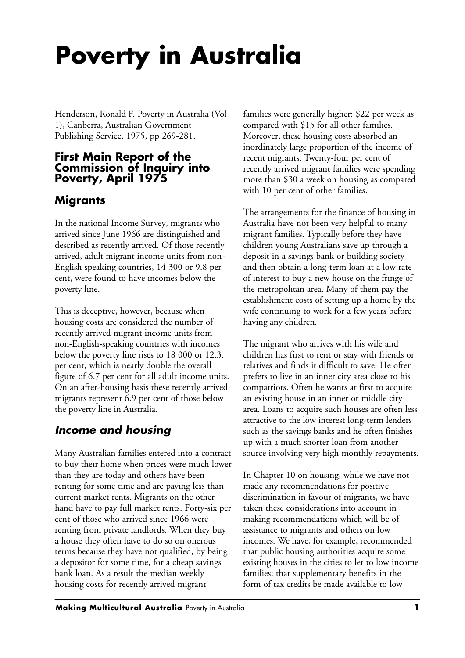# **Poverty in Australia**

Henderson, Ronald F. Poverty in Australia (Vol 1), Canberra, Australian Government Publishing Service, 1975, pp 269-281.

### **First Main Report of the Commission of Inquiry into Poverty, April 1975**

# **Migrants**

In the national Income Survey, migrants who arrived since June 1966 are distinguished and described as recently arrived. Of those recently arrived, adult migrant income units from non-English speaking countries, 14 300 or 9.8 per cent, were found to have incomes below the poverty line.

This is deceptive, however, because when housing costs are considered the number of recently arrived migrant income units from non-English-speaking countries with incomes below the poverty line rises to 18 000 or 12.3. per cent, which is nearly double the overall figure of 6.7 per cent for all adult income units. On an after-housing basis these recently arrived migrants represent 6.9 per cent of those below the poverty line in Australia.

# *Income and housing*

Many Australian families entered into a contract to buy their home when prices were much lower than they are today and others have been renting for some time and are paying less than current market rents. Migrants on the other hand have to pay full market rents. Forty-six per cent of those who arrived since 1966 were renting from private landlords. When they buy a house they often have to do so on onerous terms because they have not qualified, by being a depositor for some time, for a cheap savings bank loan. As a result the median weekly housing costs for recently arrived migrant

families were generally higher: \$22 per week as compared with \$15 for all other families. Moreover, these housing costs absorbed an inordinately large proportion of the income of recent migrants. Twenty-four per cent of recently arrived migrant families were spending more than \$30 a week on housing as compared with 10 per cent of other families.

The arrangements for the finance of housing in Australia have not been very helpful to many migrant families. Typically before they have children young Australians save up through a deposit in a savings bank or building society and then obtain a long-term loan at a low rate of interest to buy a new house on the fringe of the metropolitan area. Many of them pay the establishment costs of setting up a home by the wife continuing to work for a few years before having any children.

The migrant who arrives with his wife and children has first to rent or stay with friends or relatives and finds it difficult to save. He often prefers to live in an inner city area close to his compatriots. Often he wants at first to acquire an existing house in an inner or middle city area. Loans to acquire such houses are often less attractive to the low interest long-term lenders such as the savings banks and he often finishes up with a much shorter loan from another source involving very high monthly repayments.

In Chapter 10 on housing, while we have not made any recommendations for positive discrimination in favour of migrants, we have taken these considerations into account in making recommendations which will be of assistance to migrants and others on low incomes. We have, for example, recommended that public housing authorities acquire some existing houses in the cities to let to low income families; that supplementary benefits in the form of tax credits be made available to low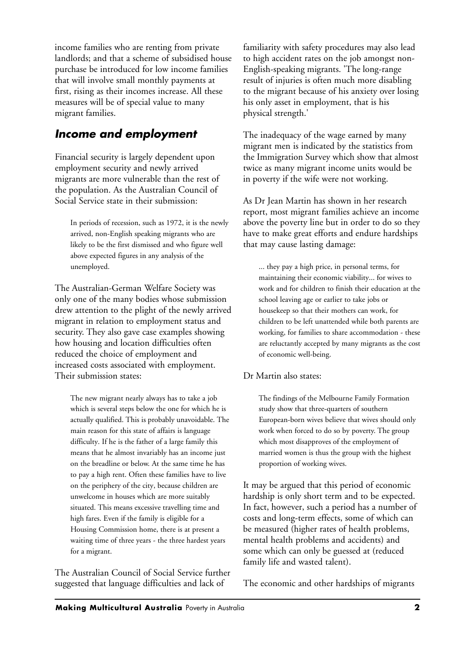income families who are renting from private landlords; and that a scheme of subsidised house purchase be introduced for low income families that will involve small monthly payments at first, rising as their incomes increase. All these measures will be of special value to many migrant families.

# *Income and employment*

Financial security is largely dependent upon employment security and newly arrived migrants are more vulnerable than the rest of the population. As the Australian Council of Social Service state in their submission:

In periods of recession, such as 1972, it is the newly arrived, non-English speaking migrants who are likely to be the first dismissed and who figure well above expected figures in any analysis of the unemployed.

The Australian-German Welfare Society was only one of the many bodies whose submission drew attention to the plight of the newly arrived migrant in relation to employment status and security. They also gave case examples showing how housing and location difficulties often reduced the choice of employment and increased costs associated with employment. Their submission states:

The new migrant nearly always has to take a job which is several steps below the one for which he is actually qualified. This is probably unavoidable. The main reason for this state of affairs is language difficulty. If he is the father of a large family this means that he almost invariably has an income just on the breadline or below. At the same time he has to pay a high rent. Often these families have to live on the periphery of the city, because children are unwelcome in houses which are more suitably situated. This means excessive travelling time and high fares. Even if the family is eligible for a Housing Commission home, there is at present a waiting time of three years - the three hardest years for a migrant.

The Australian Council of Social Service further suggested that language difficulties and lack of

familiarity with safety procedures may also lead to high accident rates on the job amongst non-English-speaking migrants. 'The long-range result of injuries is often much more disabling to the migrant because of his anxiety over losing his only asset in employment, that is his physical strength.'

The inadequacy of the wage earned by many migrant men is indicated by the statistics from the Immigration Survey which show that almost twice as many migrant income units would be in poverty if the wife were not working.

As Dr Jean Martin has shown in her research report, most migrant families achieve an income above the poverty line but in order to do so they have to make great efforts and endure hardships that may cause lasting damage:

... they pay a high price, in personal terms, for maintaining their economic viability... for wives to work and for children to finish their education at the school leaving age or earlier to take jobs or housekeep so that their mothers can work, for children to be left unattended while both parents are working, for families to share accommodation - these are reluctantly accepted by many migrants as the cost of economic well-being.

#### Dr Martin also states:

The findings of the Melbourne Family Formation study show that three-quarters of southern European-born wives believe that wives should only work when forced to do so by poverty. The group which most disapproves of the employment of married women is thus the group with the highest proportion of working wives.

It may be argued that this period of economic hardship is only short term and to be expected. In fact, however, such a period has a number of costs and long-term effects, some of which can be measured (higher rates of health problems, mental health problems and accidents) and some which can only be guessed at (reduced family life and wasted talent).

The economic and other hardships of migrants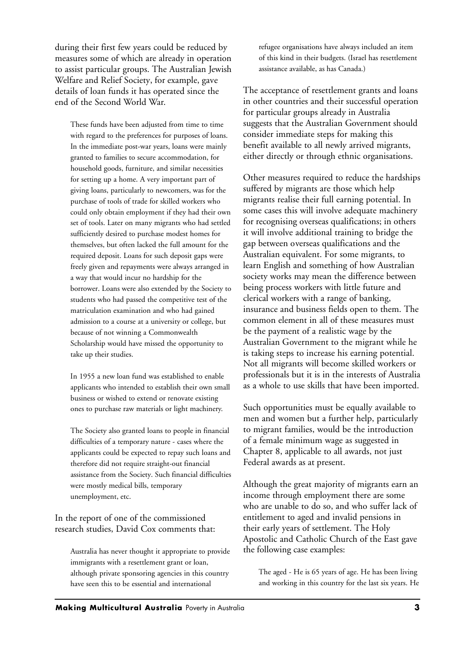during their first few years could be reduced by measures some of which are already in operation to assist particular groups. The Australian Jewish Welfare and Relief Society, for example, gave details of loan funds it has operated since the end of the Second World War.

These funds have been adjusted from time to time with regard to the preferences for purposes of loans. In the immediate post-war years, loans were mainly granted to families to secure accommodation, for household goods, furniture, and similar necessities for setting up a home. A very important part of giving loans, particularly to newcomers, was for the purchase of tools of trade for skilled workers who could only obtain employment if they had their own set of tools. Later on many migrants who had settled sufficiently desired to purchase modest homes for themselves, but often lacked the full amount for the required deposit. Loans for such deposit gaps were freely given and repayments were always arranged in a way that would incur no hardship for the borrower. Loans were also extended by the Society to students who had passed the competitive test of the matriculation examination and who had gained admission to a course at a university or college, but because of not winning a Commonwealth Scholarship would have missed the opportunity to take up their studies.

In 1955 a new loan fund was established to enable applicants who intended to establish their own small business or wished to extend or renovate existing ones to purchase raw materials or light machinery.

The Society also granted loans to people in financial difficulties of a temporary nature - cases where the applicants could be expected to repay such loans and therefore did not require straight-out financial assistance from the Society. Such financial difficulties were mostly medical bills, temporary unemployment, etc.

In the report of one of the commissioned research studies, David Cox comments that:

Australia has never thought it appropriate to provide immigrants with a resettlement grant or loan, although private sponsoring agencies in this country have seen this to be essential and international

refugee organisations have always included an item of this kind in their budgets. (Israel has resettlement assistance available, as has Canada.)

The acceptance of resettlement grants and loans in other countries and their successful operation for particular groups already in Australia suggests that the Australian Government should consider immediate steps for making this benefit available to all newly arrived migrants, either directly or through ethnic organisations.

Other measures required to reduce the hardships suffered by migrants are those which help migrants realise their full earning potential. In some cases this will involve adequate machinery for recognising overseas qualifications; in others it will involve additional training to bridge the gap between overseas qualifications and the Australian equivalent. For some migrants, to learn English and something of how Australian society works may mean the difference between being process workers with little future and clerical workers with a range of banking, insurance and business fields open to them. The common element in all of these measures must be the payment of a realistic wage by the Australian Government to the migrant while he is taking steps to increase his earning potential. Not all migrants will become skilled workers or professionals but it is in the interests of Australia as a whole to use skills that have been imported.

Such opportunities must be equally available to men and women but a further help, particularly to migrant families, would be the introduction of a female minimum wage as suggested in Chapter 8, applicable to all awards, not just Federal awards as at present.

Although the great majority of migrants earn an income through employment there are some who are unable to do so, and who suffer lack of entitlement to aged and invalid pensions in their early years of settlement. The Holy Apostolic and Catholic Church of the East gave the following case examples:

The aged - He is 65 years of age. He has been living and working in this country for the last six years. He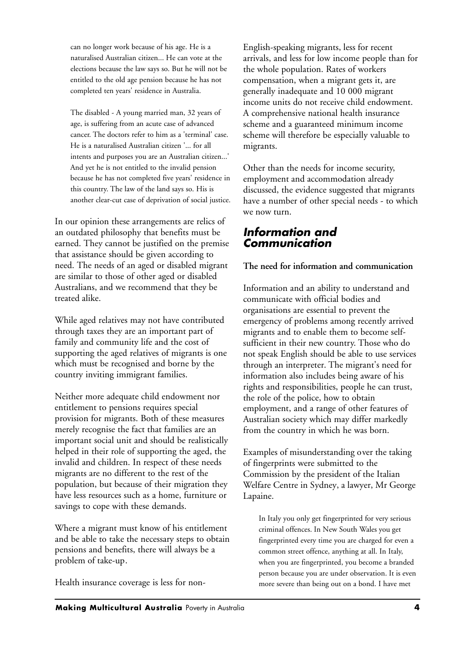can no longer work because of his age. He is a naturalised Australian citizen... He can vote at the elections because the law says so. But he will not be entitled to the old age pension because he has not completed ten years' residence in Australia.

The disabled - A young married man, 32 years of age, is suffering from an acute case of advanced cancer. The doctors refer to him as a 'terminal' case. He is a naturalised Australian citizen '... for all intents and purposes you are an Australian citizen...' And yet he is not entitled to the invalid pension because he has not completed five years' residence in this country. The law of the land says so. His is another clear-cut case of deprivation of social justice.

In our opinion these arrangements are relics of an outdated philosophy that benefits must be earned. They cannot be justified on the premise that assistance should be given according to need. The needs of an aged or disabled migrant are similar to those of other aged or disabled Australians, and we recommend that they be treated alike.

While aged relatives may not have contributed through taxes they are an important part of family and community life and the cost of supporting the aged relatives of migrants is one which must be recognised and borne by the country inviting immigrant families.

Neither more adequate child endowment nor entitlement to pensions requires special provision for migrants. Both of these measures merely recognise the fact that families are an important social unit and should be realistically helped in their role of supporting the aged, the invalid and children. In respect of these needs migrants are no different to the rest of the population, but because of their migration they have less resources such as a home, furniture or savings to cope with these demands.

Where a migrant must know of his entitlement and be able to take the necessary steps to obtain pensions and benefits, there will always be a problem of take-up.

Health insurance coverage is less for non-

English-speaking migrants, less for recent arrivals, and less for low income people than for the whole population. Rates of workers compensation, when a migrant gets it, are generally inadequate and 10 000 migrant income units do not receive child endowment. A comprehensive national health insurance scheme and a guaranteed minimum income scheme will therefore be especially valuable to migrants.

Other than the needs for income security, employment and accommodation already discussed, the evidence suggested that migrants have a number of other special needs - to which we now turn.

## *Information and Communication*

#### **The need for information and communication**

Information and an ability to understand and communicate with official bodies and organisations are essential to prevent the emergency of problems among recently arrived migrants and to enable them to become selfsufficient in their new country. Those who do not speak English should be able to use services through an interpreter. The migrant's need for information also includes being aware of his rights and responsibilities, people he can trust, the role of the police, how to obtain employment, and a range of other features of Australian society which may differ markedly from the country in which he was born.

Examples of misunderstanding over the taking of fingerprints were submitted to the Commission by the president of the Italian Welfare Centre in Sydney, a lawyer, Mr George Lapaine.

In Italy you only get fingerprinted for very serious criminal offences. In New South Wales you get fingerprinted every time you are charged for even a common street offence, anything at all. In Italy, when you are fingerprinted, you become a branded person because you are under observation. It is even more severe than being out on a bond. I have met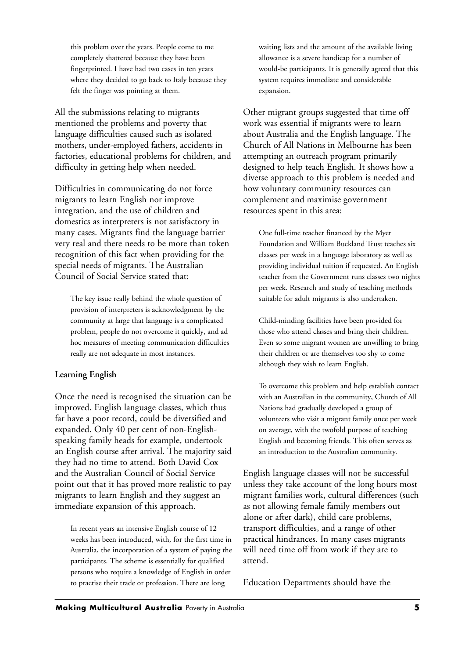this problem over the years. People come to me completely shattered because they have been fingerprinted. I have had two cases in ten years where they decided to go back to Italy because they felt the finger was pointing at them.

All the submissions relating to migrants mentioned the problems and poverty that language difficulties caused such as isolated mothers, under-employed fathers, accidents in factories, educational problems for children, and difficulty in getting help when needed.

Difficulties in communicating do not force migrants to learn English nor improve integration, and the use of children and domestics as interpreters is not satisfactory in many cases. Migrants find the language barrier very real and there needs to be more than token recognition of this fact when providing for the special needs of migrants. The Australian Council of Social Service stated that:

The key issue really behind the whole question of provision of interpreters is acknowledgment by the community at large that language is a complicated problem, people do not overcome it quickly, and ad hoc measures of meeting communication difficulties really are not adequate in most instances.

#### **Learning English**

Once the need is recognised the situation can be improved. English language classes, which thus far have a poor record, could be diversified and expanded. Only 40 per cent of non-Englishspeaking family heads for example, undertook an English course after arrival. The majority said they had no time to attend. Both David Cox and the Australian Council of Social Service point out that it has proved more realistic to pay migrants to learn English and they suggest an immediate expansion of this approach.

In recent years an intensive English course of 12 weeks has been introduced, with, for the first time in Australia, the incorporation of a system of paying the participants. The scheme is essentially for qualified persons who require a knowledge of English in order to practise their trade or profession. There are long

waiting lists and the amount of the available living allowance is a severe handicap for a number of would-be participants. It is generally agreed that this system requires immediate and considerable expansion.

Other migrant groups suggested that time off work was essential if migrants were to learn about Australia and the English language. The Church of All Nations in Melbourne has been attempting an outreach program primarily designed to help teach English. It shows how a diverse approach to this problem is needed and how voluntary community resources can complement and maximise government resources spent in this area:

One full-time teacher financed by the Myer Foundation and William Buckland Trust teaches six classes per week in a language laboratory as well as providing individual tuition if requested. An English teacher from the Government runs classes two nights per week. Research and study of teaching methods suitable for adult migrants is also undertaken.

Child-minding facilities have been provided for those who attend classes and bring their children. Even so some migrant women are unwilling to bring their children or are themselves too shy to come although they wish to learn English.

To overcome this problem and help establish contact with an Australian in the community, Church of All Nations had gradually developed a group of volunteers who visit a migrant family once per week on average, with the twofold purpose of teaching English and becoming friends. This often serves as an introduction to the Australian community.

English language classes will not be successful unless they take account of the long hours most migrant families work, cultural differences (such as not allowing female family members out alone or after dark), child care problems, transport difficulties, and a range of other practical hindrances. In many cases migrants will need time off from work if they are to attend.

Education Departments should have the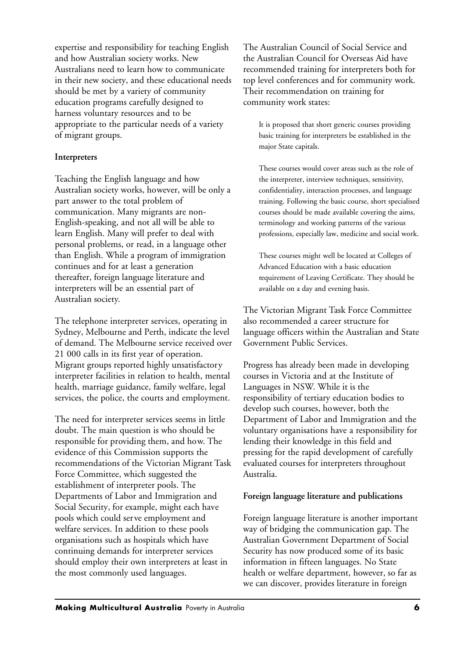expertise and responsibility for teaching English and how Australian society works. New Australians need to learn how to communicate in their new society, and these educational needs should be met by a variety of community education programs carefully designed to harness voluntary resources and to be appropriate to the particular needs of a variety of migrant groups.

#### **Interpreters**

Teaching the English language and how Australian society works, however, will be only a part answer to the total problem of communication. Many migrants are non-English-speaking, and not all will be able to learn English. Many will prefer to deal with personal problems, or read, in a language other than English. While a program of immigration continues and for at least a generation thereafter, foreign language literature and interpreters will be an essential part of Australian society.

The telephone interpreter services, operating in Sydney, Melbourne and Perth, indicate the level of demand. The Melbourne service received over 21 000 calls in its first year of operation. Migrant groups reported highly unsatisfactory interpreter facilities in relation to health, mental health, marriage guidance, family welfare, legal services, the police, the courts and employment.

The need for interpreter services seems in little doubt. The main question is who should be responsible for providing them, and how. The evidence of this Commission supports the recommendations of the Victorian Migrant Task Force Committee, which suggested the establishment of interpreter pools. The Departments of Labor and Immigration and Social Security, for example, might each have pools which could ser ve employment and welfare services. In addition to these pools organisations such as hospitals which have continuing demands for interpreter services should employ their own interpreters at least in the most commonly used languages.

The Australian Council of Social Service and the Australian Council for Overseas Aid have recommended training for interpreters both for top level conferences and for community work. Their recommendation on training for community work states:

It is proposed that short generic courses providing basic training for interpreters be established in the major State capitals.

These courses would cover areas such as the role of the interpreter, interview techniques, sensitivity, confidentiality, interaction processes, and language training. Following the basic course, short specialised courses should be made available covering the aims, terminology and working patterns of the various professions, especially law, medicine and social work.

These courses might well be located at Colleges of Advanced Education with a basic education requirement of Leaving Certificate. They should be available on a day and evening basis.

The Victorian Migrant Task Force Committee also recommended a career structure for language officers within the Australian and State Government Public Services.

Progress has already been made in developing courses in Victoria and at the Institute of Languages in NSW. While it is the responsibility of tertiary education bodies to develop such courses, however, both the Department of Labor and Immigration and the voluntary organisations have a responsibility for lending their knowledge in this field and pressing for the rapid development of carefully evaluated courses for interpreters throughout Australia.

#### **Foreign language literature and publications**

Foreign language literature is another important way of bridging the communication gap. The Australian Government Department of Social Security has now produced some of its basic information in fifteen languages. No State health or welfare department, however, so far as we can discover, provides literature in foreign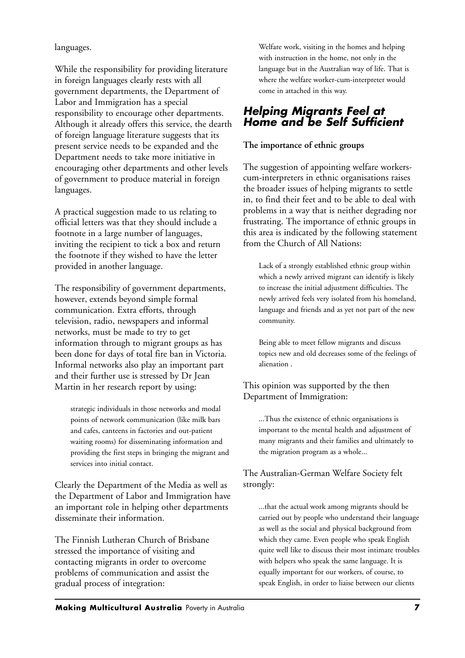languages.

While the responsibility for providing literature in foreign languages clearly rests with all government departments, the Department of Labor and Immigration has a special responsibility to encourage other departments. Although it already offers this service, the dearth of foreign language literature suggests that its present service needs to be expanded and the Department needs to take more initiative in encouraging other departments and other levels of government to produce material in foreign languages.

A practical suggestion made to us relating to official letters was that they should include a footnote in a large number of languages, inviting the recipient to tick a box and return the footnote if they wished to have the letter provided in another language.

The responsibility of government departments, however, extends beyond simple formal communication. Extra efforts, through television, radio, newspapers and informal networks, must be made to try to get information through to migrant groups as has been done for days of total fire ban in Victoria. Informal networks also play an important part and their further use is stressed by Dr Jean Martin in her research report by using:

strategic individuals in those networks and modal points of network communication (like milk bars and cafes, canteens in factories and out-patient waiting rooms) for disseminating information and providing the first steps in bringing the migrant and services into initial contact.

Clearly the Department of the Media as well as the Department of Labor and Immigration have an important role in helping other departments disseminate their information.

The Finnish Lutheran Church of Brisbane stressed the importance of visiting and contacting migrants in order to overcome problems of communication and assist the gradual process of integration:

Welfare work, visiting in the homes and helping with instruction in the home, not only in the language but in the Australian way of life. That is where the welfare worker-cum-interpreter would come in attached in this way.

## *Helping Migrants Feel at Home and be Self Sufficient*

#### **The importance of ethnic groups**

The suggestion of appointing welfare workerscum-interpreters in ethnic organisations raises the broader issues of helping migrants to settle in, to find their feet and to be able to deal with problems in a way that is neither degrading nor frustrating. The importance of ethnic groups in this area is indicated by the following statement from the Church of All Nations:

Lack of a strongly established ethnic group within which a newly arrived migrant can identify is likely to increase the initial adjustment difficulties. The newly arrived feels very isolated from his homeland, language and friends and as yet not part of the new community.

Being able to meet fellow migrants and discuss topics new and old decreases some of the feelings of alienation .

#### This opinion was supported by the then Department of Immigration:

...Thus the existence of ethnic organisations is important to the mental health and adjustment of many migrants and their families and ultimately to the migration program as a whole...

#### The Australian-German Welfare Society felt strongly:

...that the actual work among migrants should be carried out by people who understand their language as well as the social and physical background from which they came. Even people who speak English quite well like to discuss their most intimate troubles with helpers who speak the same language. It is equally important for our workers, of course, to speak English, in order to liaise between our clients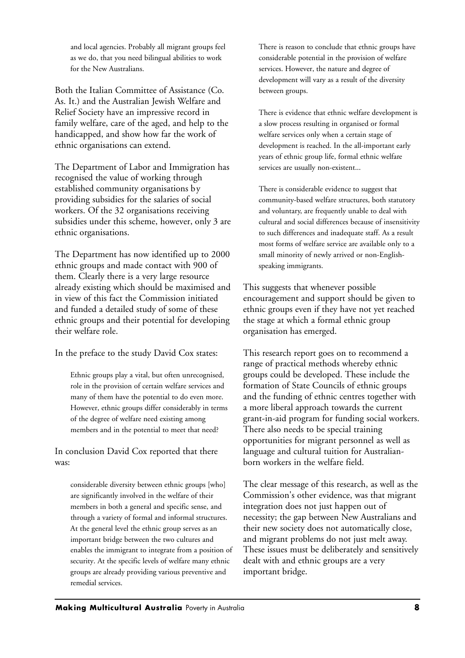and local agencies. Probably all migrant groups feel as we do, that you need bilingual abilities to work for the New Australians.

Both the Italian Committee of Assistance (Co. As. It.) and the Australian Jewish Welfare and Relief Society have an impressive record in family welfare, care of the aged, and help to the handicapped, and show how far the work of ethnic organisations can extend.

The Department of Labor and Immigration has recognised the value of working through established community organisations by providing subsidies for the salaries of social workers. Of the 32 organisations receiving subsidies under this scheme, however, only 3 are ethnic organisations.

The Department has now identified up to 2000 ethnic groups and made contact with 900 of them. Clearly there is a very large resource already existing which should be maximised and in view of this fact the Commission initiated and funded a detailed study of some of these ethnic groups and their potential for developing their welfare role.

In the preface to the study David Cox states:

Ethnic groups play a vital, but often unrecognised, role in the provision of certain welfare services and many of them have the potential to do even more. However, ethnic groups differ considerably in terms of the degree of welfare need existing among members and in the potential to meet that need?

In conclusion David Cox reported that there was:

considerable diversity between ethnic groups [who] are significantly involved in the welfare of their members in both a general and specific sense, and through a variety of formal and informal structures. At the general level the ethnic group serves as an important bridge between the two cultures and enables the immigrant to integrate from a position of security. At the specific levels of welfare many ethnic groups are already providing various preventive and remedial services.

There is reason to conclude that ethnic groups have considerable potential in the provision of welfare services. However, the nature and degree of development will vary as a result of the diversity between groups.

There is evidence that ethnic welfare development is a slow process resulting in organised or formal welfare services only when a certain stage of development is reached. In the all-important early years of ethnic group life, formal ethnic welfare services are usually non-existent...

There is considerable evidence to suggest that community-based welfare structures, both statutory and voluntary, are frequently unable to deal with cultural and social differences because of insensitivity to such differences and inadequate staff. As a result most forms of welfare service are available only to a small minority of newly arrived or non-Englishspeaking immigrants.

This suggests that whenever possible encouragement and support should be given to ethnic groups even if they have not yet reached the stage at which a formal ethnic group organisation has emerged.

This research report goes on to recommend a range of practical methods whereby ethnic groups could be developed. These include the formation of State Councils of ethnic groups and the funding of ethnic centres together with a more liberal approach towards the current grant-in-aid program for funding social workers. There also needs to be special training opportunities for migrant personnel as well as language and cultural tuition for Australianborn workers in the welfare field.

The clear message of this research, as well as the Commission's other evidence, was that migrant integration does not just happen out of necessity; the gap between New Australians and their new society does not automatically close, and migrant problems do not just melt away. These issues must be deliberately and sensitively dealt with and ethnic groups are a very important bridge.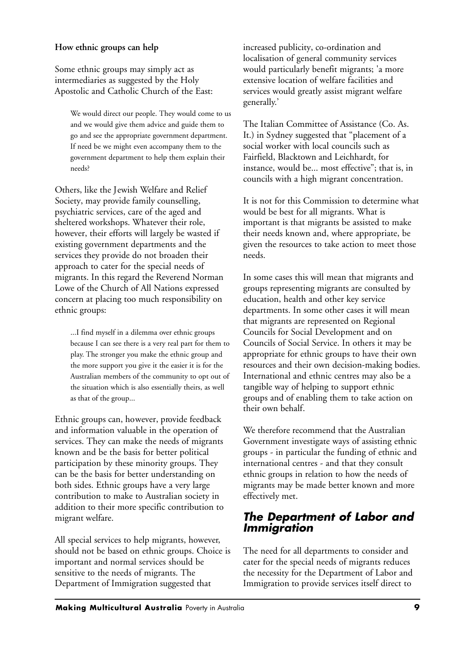#### **How ethnic groups can help**

Some ethnic groups may simply act as intermediaries as suggested by the Holy Apostolic and Catholic Church of the East:

We would direct our people. They would come to us and we would give them advice and guide them to go and see the appropriate government department. If need be we might even accompany them to the government department to help them explain their needs?

Others, like the Jewish Welfare and Relief Society, may provide family counselling, psychiatric services, care of the aged and sheltered workshops. Whatever their role, however, their efforts will largely be wasted if existing government departments and the services they provide do not broaden their approach to cater for the special needs of migrants. In this regard the Reverend Norman Lowe of the Church of All Nations expressed concern at placing too much responsibility on ethnic groups:

...I find myself in a dilemma over ethnic groups because I can see there is a very real part for them to play. The stronger you make the ethnic group and the more support you give it the easier it is for the Australian members of the community to opt out of the situation which is also essentially theirs, as well as that of the group...

Ethnic groups can, however, provide feedback and information valuable in the operation of services. They can make the needs of migrants known and be the basis for better political participation by these minority groups. They can be the basis for better understanding on both sides. Ethnic groups have a very large contribution to make to Australian society in addition to their more specific contribution to migrant welfare.

All special services to help migrants, however, should not be based on ethnic groups. Choice is important and normal services should be sensitive to the needs of migrants. The Department of Immigration suggested that

increased publicity, co-ordination and localisation of general community services would particularly benefit migrants; 'a more extensive location of welfare facilities and services would greatly assist migrant welfare generally.'

The Italian Committee of Assistance (Co. As. It.) in Sydney suggested that "placement of a social worker with local councils such as Fairfield, Blacktown and Leichhardt, for instance, would be... most effective"; that is, in councils with a high migrant concentration.

It is not for this Commission to determine what would be best for all migrants. What is important is that migrants be assisted to make their needs known and, where appropriate, be given the resources to take action to meet those needs.

In some cases this will mean that migrants and groups representing migrants are consulted by education, health and other key service departments. In some other cases it will mean that migrants are represented on Regional Councils for Social Development and on Councils of Social Service. In others it may be appropriate for ethnic groups to have their own resources and their own decision-making bodies. International and ethnic centres may also be a tangible way of helping to support ethnic groups and of enabling them to take action on their own behalf.

We therefore recommend that the Australian Government investigate ways of assisting ethnic groups - in particular the funding of ethnic and international centres - and that they consult ethnic groups in relation to how the needs of migrants may be made better known and more effectively met.

## *The Department of Labor and Immigration*

The need for all departments to consider and cater for the special needs of migrants reduces the necessity for the Department of Labor and Immigration to provide services itself direct to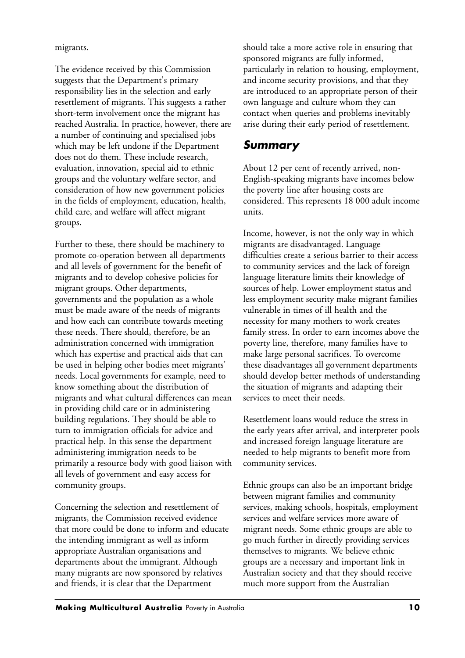migrants.

The evidence received by this Commission suggests that the Department's primary responsibility lies in the selection and early resettlement of migrants. This suggests a rather short-term involvement once the migrant has reached Australia. In practice, however, there are a number of continuing and specialised jobs which may be left undone if the Department does not do them. These include research, evaluation, innovation, special aid to ethnic groups and the voluntary welfare sector, and consideration of how new government policies in the fields of employment, education, health, child care, and welfare will affect migrant groups.

Further to these, there should be machinery to promote co-operation between all departments and all levels of government for the benefit of migrants and to develop cohesive policies for migrant groups. Other departments, governments and the population as a whole must be made aware of the needs of migrants and how each can contribute towards meeting these needs. There should, therefore, be an administration concerned with immigration which has expertise and practical aids that can be used in helping other bodies meet migrants' needs. Local governments for example, need to know something about the distribution of migrants and what cultural differences can mean in providing child care or in administering building regulations. They should be able to turn to immigration officials for advice and practical help. In this sense the department administering immigration needs to be primarily a resource body with good liaison with all levels of government and easy access for community groups.

Concerning the selection and resettlement of migrants, the Commission received evidence that more could be done to inform and educate the intending immigrant as well as inform appropriate Australian organisations and departments about the immigrant. Although many migrants are now sponsored by relatives and friends, it is clear that the Department

should take a more active role in ensuring that sponsored migrants are fully informed, particularly in relation to housing, employment, and income security provisions, and that they are introduced to an appropriate person of their own language and culture whom they can contact when queries and problems inevitably arise during their early period of resettlement.

## *Summary*

About 12 per cent of recently arrived, non-English-speaking migrants have incomes below the poverty line after housing costs are considered. This represents 18 000 adult income units.

Income, however, is not the only way in which migrants are disadvantaged. Language difficulties create a serious barrier to their access to community services and the lack of foreign language literature limits their knowledge of sources of help. Lower employment status and less employment security make migrant families vulnerable in times of ill health and the necessity for many mothers to work creates family stress. In order to earn incomes above the poverty line, therefore, many families have to make large personal sacrifices. To overcome these disadvantages all government departments should develop better methods of understanding the situation of migrants and adapting their services to meet their needs.

Resettlement loans would reduce the stress in the early years after arrival, and interpreter pools and increased foreign language literature are needed to help migrants to benefit more from community services.

Ethnic groups can also be an important bridge between migrant families and community services, making schools, hospitals, employment services and welfare services more aware of migrant needs. Some ethnic groups are able to go much further in directly providing services themselves to migrants. We believe ethnic groups are a necessary and important link in Australian society and that they should receive much more support from the Australian